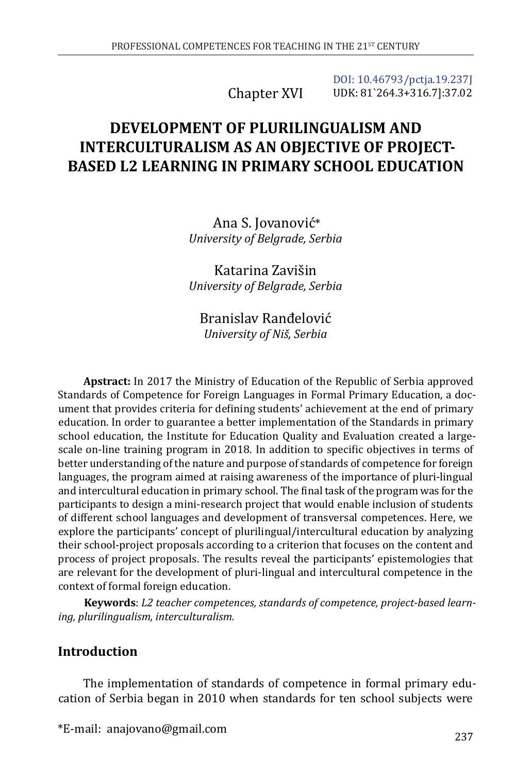Chapter XVI

[DOI: 10.46793/pctja.19.237J](https://doi.org/10.46793/pctja.19.237J) UDK: 81`264.3+316.7]:37.02

# **DEVELOPMENT OF PLURILINGUALISM AND INTERCULTURALISM AS AN OBJECTIVE OF PROJECT-BASED L2 LEARNING IN PRIMARY SCHOOL EDUCATION**

Ana S. Jovanović\* *University of Belgrade, Serbia*

Katarina Zavišin *University of Belgrade, Serbia*

Branislav Ranđelović *University of Niš, Serbia*

**Apstract:** In 2017 the Ministry of Education of the Republic of Serbia approved Standards of Competence for Foreign Languages in Formal Primary Education, a document that provides criteria for defining students' achievement at the end of primary education. In order to guarantee a better implementation of the Standards in primary school education, the Institute for Education Quality and Evaluation created a largescale on-line training program in 2018. In addition to specific objectives in terms of better understanding of the nature and purpose of standards of competence for foreign languages, the program aimed at raising awareness of the importance of pluri-lingual and intercultural education in primary school. The final task of the program was for the participants to design a mini-research project that would enable inclusion of students of different school languages and development of transversal competences. Here, we explore the participants' concept of plurilingual/intercultural education by analyzing their school-project proposals according to a criterion that focuses on the content and process of project proposals. The results reveal the participants' epistemologies that are relevant for the development of pluri-lingual and intercultural competence in the context of formal foreign education.

**Keywords**: *L2 teacher competences, standards of competence, project-based learning, plurilingualism, interculturalism.*

## **Introduction**

The implementation of standards of competence in formal primary education of Serbia began in 2010 when standards for ten school subjects were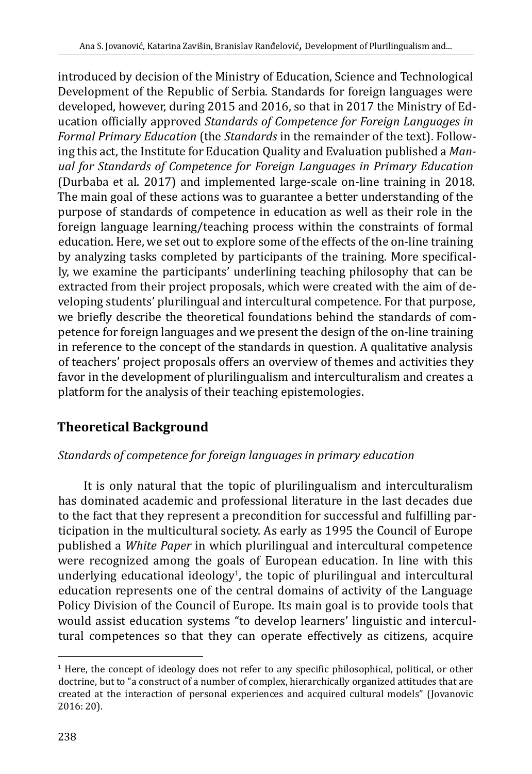introduced by decision of the Ministry of Education, Science and Technological Development of the Republic of Serbia. Standards for foreign languages were developed, however, during 2015 and 2016, so that in 2017 the Ministry of Education officially approved *Standards of Competence for Foreign Languages in Formal Primary Education* (the *Standards* in the remainder of the text). Following this act, the Institute for Education Quality and Evaluation published a *Manual for Standards of Competence for Foreign Languages in Primary Education* (Durbaba et al. 2017) and implemented large-scale on-line training in 2018. The main goal of these actions was to guarantee a better understanding of the purpose of standards of competence in education as well as their role in the foreign language learning/teaching process within the constraints of formal education. Here, we set out to explore some of the effects of the on-line training by analyzing tasks completed by participants of the training. More specifically, we examine the participants' underlining teaching philosophy that can be extracted from their project proposals, which were created with the aim of developing students' plurilingual and intercultural competence. For that purpose, we briefly describe the theoretical foundations behind the standards of competence for foreign languages and we present the design of the on-line training in reference to the concept of the standards in question. A qualitative analysis of teachers' project proposals offers an overview of themes and activities they favor in the development of plurilingualism and interculturalism and creates a platform for the analysis of their teaching epistemologies.

## **Theoretical Background**

## *Standards of competence for foreign languages in primary education*

It is only natural that the topic of plurilingualism and interculturalism has dominated academic and professional literature in the last decades due to the fact that they represent a precondition for successful and fulfilling participation in the multicultural society. As early as 1995 the Council of Europe published a *White Paper* in which plurilingual and intercultural competence were recognized among the goals of European education. In line with this underlying educational ideology<sup>1</sup>, the topic of plurilingual and intercultural education represents one of the central domains of activity of the Language Policy Division of the Council of Europe. Its main goal is to provide tools that would assist education systems "to develop learners' linguistic and intercultural competences so that they can operate effectively as citizens, acquire

<sup>&</sup>lt;sup>1</sup> Here, the concept of ideology does not refer to any specific philosophical, political, or other doctrine, but to "a construct of a number of complex, hierarchically organized attitudes that are created at the interaction of personal experiences and acquired cultural models" (Jovanovic 2016: 20).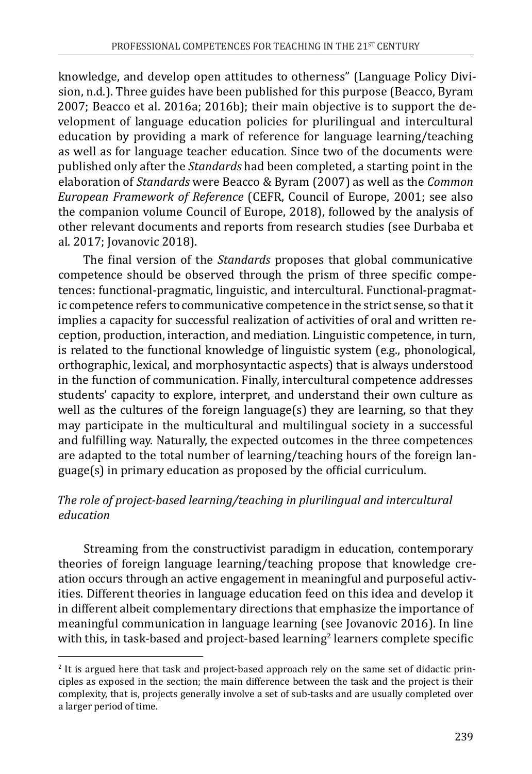knowledge, and develop open attitudes to otherness" (Language Policy Division, n.d.). Three guides have been published for this purpose (Beacco, Byram 2007; Beacco et al. 2016a; 2016b); their main objective is to support the development of language education policies for plurilingual and intercultural education by providing a mark of reference for language learning/teaching as well as for language teacher education. Since two of the documents were published only after the *Standards* had been completed, a starting point in the elaboration of *Standards* were Beacco & Byram (2007) as well as the *Common European Framework of Reference* (CEFR, Council of Europe, 2001; see also the companion volume Council of Europe, 2018), followed by the analysis of other relevant documents and reports from research studies (see Durbaba et al. 2017; Jovanovic 2018).

The final version of the *Standards* proposes that global communicative competence should be observed through the prism of three specific competences: functional-pragmatic, linguistic, and intercultural. Functional-pragmatic competence refers to communicative competence in the strict sense, so that it implies a capacity for successful realization of activities of oral and written reception, production, interaction, and mediation. Linguistic competence, in turn, is related to the functional knowledge of linguistic system (e.g., phonological, orthographic, lexical, and morphosyntactic aspects) that is always understood in the function of communication. Finally, intercultural competence addresses students' capacity to explore, interpret, and understand their own culture as well as the cultures of the foreign language(s) they are learning, so that they may participate in the multicultural and multilingual society in a successful and fulfilling way. Naturally, the expected outcomes in the three competences are adapted to the total number of learning/teaching hours of the foreign language(s) in primary education as proposed by the official curriculum.

## *The role of project-based learning/teaching in plurilingual and intercultural education*

Streaming from the constructivist paradigm in education, contemporary theories of foreign language learning/teaching propose that knowledge creation occurs through an active engagement in meaningful and purposeful activities. Different theories in language education feed on this idea and develop it in different albeit complementary directions that emphasize the importance of meaningful communication in language learning (see Jovanovic 2016). In line with this, in task-based and project-based learning $^2$  learners complete specific

<sup>2</sup> It is argued here that task and project-based approach rely on the same set of didactic principles as exposed in the section; the main difference between the task and the project is their complexity, that is, projects generally involve a set of sub-tasks and are usually completed over a larger period of time.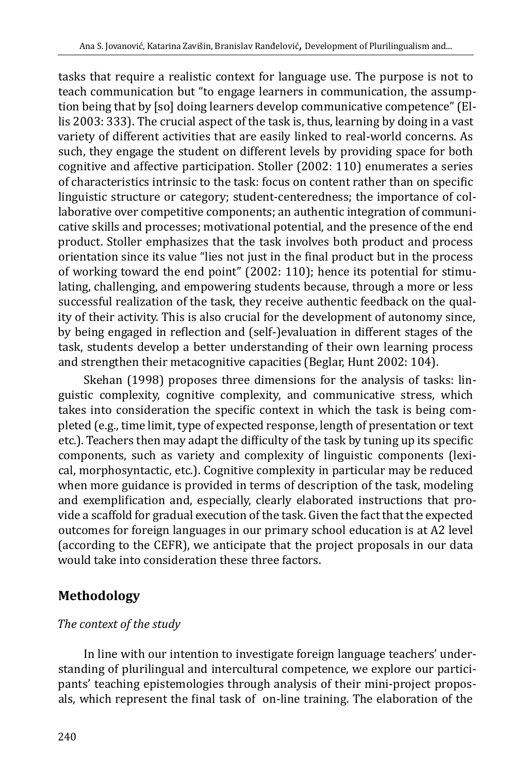tasks that require a realistic context for language use. The purpose is not to teach communication but "to engage learners in communication, the assumption being that by [so] doing learners develop communicative competence" (Ellis 2003: 333). The crucial aspect of the task is, thus, learning by doing in a vast variety of different activities that are easily linked to real-world concerns. As such, they engage the student on different levels by providing space for both cognitive and affective participation. Stoller (2002: 110) enumerates a series of characteristics intrinsic to the task: focus on content rather than on specific linguistic structure or category; student-centeredness; the importance of collaborative over competitive components; an authentic integration of communicative skills and processes; motivational potential, and the presence of the end product. Stoller emphasizes that the task involves both product and process orientation since its value "lies not just in the final product but in the process of working toward the end point" (2002: 110); hence its potential for stimulating, challenging, and empowering students because, through a more or less successful realization of the task, they receive authentic feedback on the quality of their activity. This is also crucial for the development of autonomy since, by being engaged in reflection and (self-)evaluation in different stages of the task, students develop a better understanding of their own learning process and strengthen their metacognitive capacities (Beglar, Hunt 2002: 104).

Skehan (1998) proposes three dimensions for the analysis of tasks: linguistic complexity, cognitive complexity, and communicative stress, which takes into consideration the specific context in which the task is being completed (e.g., time limit, type of expected response, length of presentation or text etc.). Teachers then may adapt the difficulty of the task by tuning up its specific components, such as variety and complexity of linguistic components (lexical, morphosyntactic, etc.). Cognitive complexity in particular may be reduced when more guidance is provided in terms of description of the task, modeling and exemplification and, especially, clearly elaborated instructions that provide a scaffold for gradual execution of the task. Given the fact that the expected outcomes for foreign languages in our primary school education is at A2 level (according to the CEFR), we anticipate that the project proposals in our data would take into consideration these three factors.

## **Methodology**

## *The context of the study*

In line with our intention to investigate foreign language teachers' understanding of plurilingual and intercultural competence, we explore our participants' teaching epistemologies through analysis of their mini-project proposals, which represent the final task of on-line training. The elaboration of the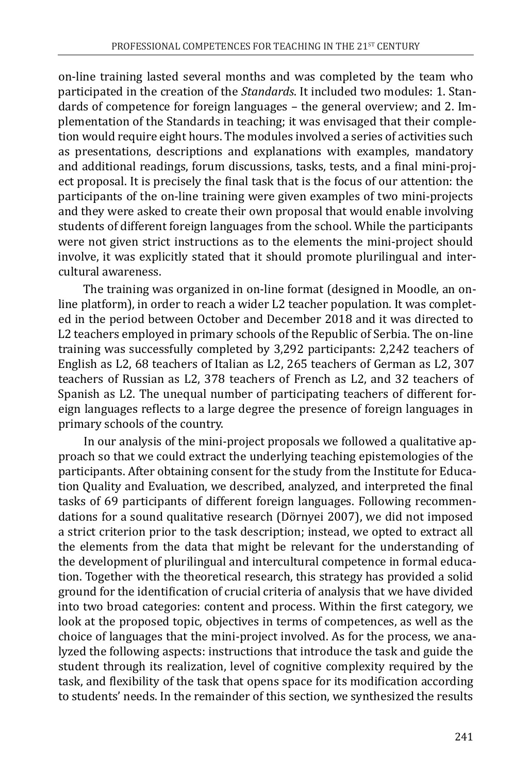on-line training lasted several months and was completed by the team who participated in the creation of the *Standards*. It included two modules: 1. Standards of competence for foreign languages – the general overview; and 2. Implementation of the Standards in teaching; it was envisaged that their completion would require eight hours. The modules involved a series of activities such as presentations, descriptions and explanations with examples, mandatory and additional readings, forum discussions, tasks, tests, and a final mini-project proposal. It is precisely the final task that is the focus of our attention: the participants of the on-line training were given examples of two mini-projects and they were asked to create their own proposal that would enable involving students of different foreign languages from the school. While the participants were not given strict instructions as to the elements the mini-project should involve, it was explicitly stated that it should promote plurilingual and intercultural awareness.

The training was organized in on-line format (designed in Moodle, an online platform), in order to reach a wider L2 teacher population. It was completed in the period between October and December 2018 and it was directed to L2 teachers employed in primary schools of the Republic of Serbia. The on-line training was successfully completed by 3,292 participants: 2,242 teachers of English as L2, 68 teachers of Italian as L2, 265 teachers of German as L2, 307 teachers of Russian as L2, 378 teachers of French as L2, and 32 teachers of Spanish as L2. The unequal number of participating teachers of different foreign languages reflects to a large degree the presence of foreign languages in primary schools of the country.

In our analysis of the mini-project proposals we followed a qualitative approach so that we could extract the underlying teaching epistemologies of the participants. After obtaining consent for the study from the Institute for Education Quality and Evaluation, we described, analyzed, and interpreted the final tasks of 69 participants of different foreign languages. Following recommendations for a sound qualitative research (Dörnyei 2007), we did not imposed a strict criterion prior to the task description; instead, we opted to extract all the elements from the data that might be relevant for the understanding of the development of plurilingual and intercultural competence in formal education. Together with the theoretical research, this strategy has provided a solid ground for the identification of crucial criteria of analysis that we have divided into two broad categories: content and process. Within the first category, we look at the proposed topic, objectives in terms of competences, as well as the choice of languages that the mini-project involved. As for the process, we analyzed the following aspects: instructions that introduce the task and guide the student through its realization, level of cognitive complexity required by the task, and flexibility of the task that opens space for its modification according to students' needs. In the remainder of this section, we synthesized the results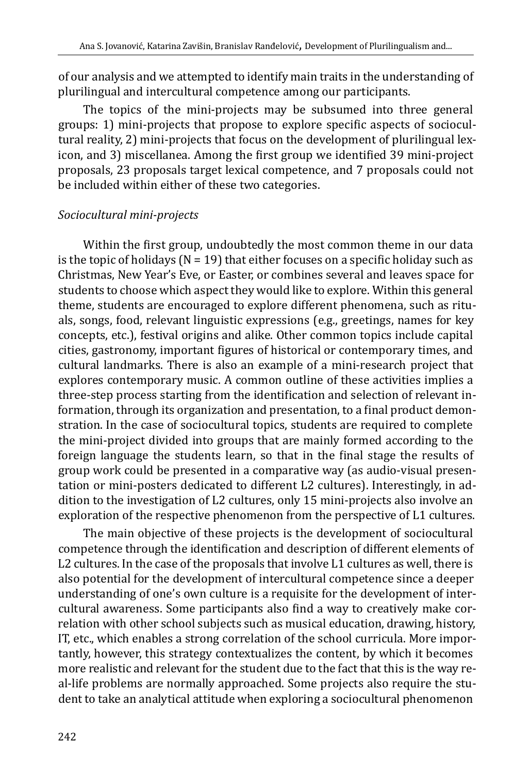of our analysis and we attempted to identify main traits in the understanding of plurilingual and intercultural competence among our participants.

The topics of the mini-projects may be subsumed into three general groups: 1) mini-projects that propose to explore specific aspects of sociocultural reality, 2) mini-projects that focus on the development of plurilingual lexicon, and 3) miscellanea. Among the first group we identified 39 mini-project proposals, 23 proposals target lexical competence, and 7 proposals could not be included within either of these two categories.

#### *Sociocultural mini-projects*

Within the first group, undoubtedly the most common theme in our data is the topic of holidays ( $N = 19$ ) that either focuses on a specific holiday such as Christmas, New Year's Eve, or Easter, or combines several and leaves space for students to choose which aspect they would like to explore. Within this general theme, students are encouraged to explore different phenomena, such as rituals, songs, food, relevant linguistic expressions (e.g., greetings, names for key concepts, etc.), festival origins and alike. Other common topics include capital cities, gastronomy, important figures of historical or contemporary times, and cultural landmarks. There is also an example of a mini-research project that explores contemporary music. A common outline of these activities implies a three-step process starting from the identification and selection of relevant information, through its organization and presentation, to a final product demonstration. In the case of sociocultural topics, students are required to complete the mini-project divided into groups that are mainly formed according to the foreign language the students learn, so that in the final stage the results of group work could be presented in a comparative way (as audio-visual presentation or mini-posters dedicated to different L2 cultures). Interestingly, in addition to the investigation of L2 cultures, only 15 mini-projects also involve an exploration of the respective phenomenon from the perspective of L1 cultures.

The main objective of these projects is the development of sociocultural competence through the identification and description of different elements of L2 cultures. In the case of the proposals that involve L1 cultures as well, there is also potential for the development of intercultural competence since a deeper understanding of one's own culture is a requisite for the development of intercultural awareness. Some participants also find a way to creatively make correlation with other school subjects such as musical education, drawing, history, IT, etc., which enables a strong correlation of the school curricula. More importantly, however, this strategy contextualizes the content, by which it becomes more realistic and relevant for the student due to the fact that this is the way real-life problems are normally approached. Some projects also require the student to take an analytical attitude when exploring a sociocultural phenomenon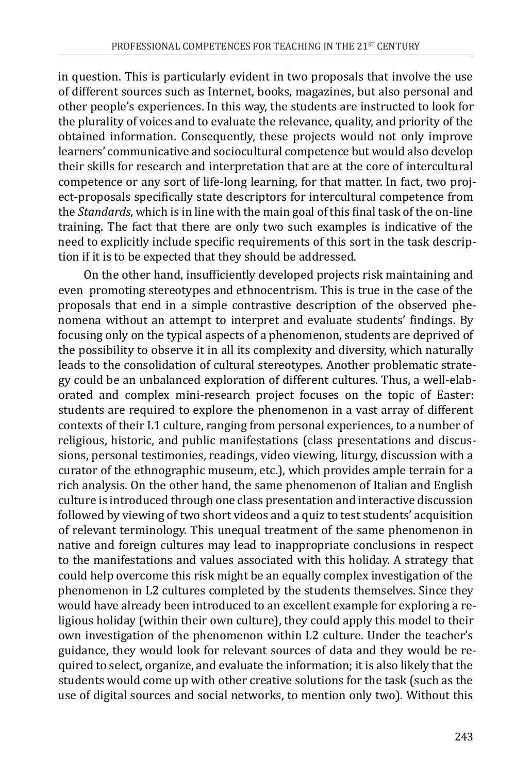in question. This is particularly evident in two proposals that involve the use of different sources such as Internet, books, magazines, but also personal and other people's experiences. In this way, the students are instructed to look for the plurality of voices and to evaluate the relevance, quality, and priority of the obtained information. Consequently, these projects would not only improve learners' communicative and sociocultural competence but would also develop their skills for research and interpretation that are at the core of intercultural competence or any sort of life-long learning, for that matter. In fact, two project-proposals specifically state descriptors for intercultural competence from the *Standards*, which is in line with the main goal of this final task of the on-line training. The fact that there are only two such examples is indicative of the need to explicitly include specific requirements of this sort in the task description if it is to be expected that they should be addressed.

On the other hand, insufficiently developed projects risk maintaining and even promoting stereotypes and ethnocentrism. This is true in the case of the proposals that end in a simple contrastive description of the observed phenomena without an attempt to interpret and evaluate students' findings. By focusing only on the typical aspects of a phenomenon, students are deprived of the possibility to observe it in all its complexity and diversity, which naturally leads to the consolidation of cultural stereotypes. Another problematic strategy could be an unbalanced exploration of different cultures. Thus, a well-elaborated and complex mini-research project focuses on the topic of Easter: students are required to explore the phenomenon in a vast array of different contexts of their L1 culture, ranging from personal experiences, to a number of religious, historic, and public manifestations (class presentations and discussions, personal testimonies, readings, video viewing, liturgy, discussion with a curator of the ethnographic museum, etc.), which provides ample terrain for a rich analysis. On the other hand, the same phenomenon of Italian and English culture is introduced through one class presentation and interactive discussion followed by viewing of two short videos and a quiz to test students' acquisition of relevant terminology. This unequal treatment of the same phenomenon in native and foreign cultures may lead to inappropriate conclusions in respect to the manifestations and values associated with this holiday. A strategy that could help overcome this risk might be an equally complex investigation of the phenomenon in L2 cultures completed by the students themselves. Since they would have already been introduced to an excellent example for exploring a religious holiday (within their own culture), they could apply this model to their own investigation of the phenomenon within L2 culture. Under the teacher's guidance, they would look for relevant sources of data and they would be required to select, organize, and evaluate the information; it is also likely that the students would come up with other creative solutions for the task (such as the use of digital sources and social networks, to mention only two). Without this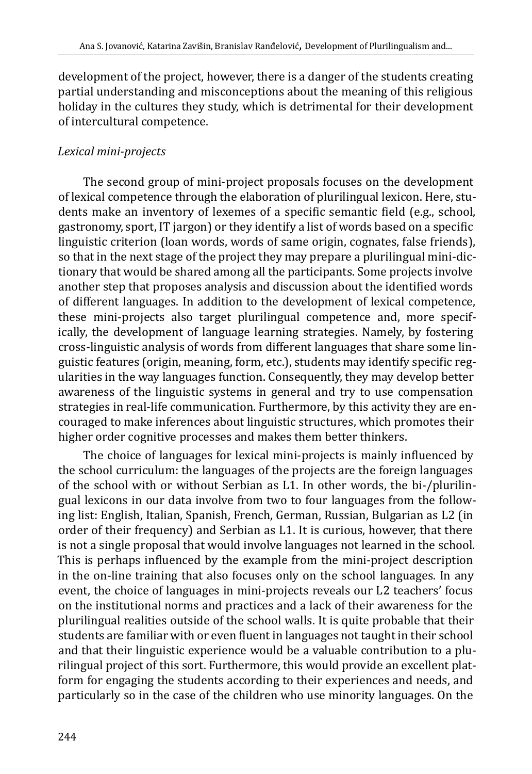development of the project, however, there is a danger of the students creating partial understanding and misconceptions about the meaning of this religious holiday in the cultures they study, which is detrimental for their development of intercultural competence.

## *Lexical mini-projects*

The second group of mini-project proposals focuses on the development of lexical competence through the elaboration of plurilingual lexicon. Here, students make an inventory of lexemes of a specific semantic field (e.g., school, gastronomy, sport, IT jargon) or they identify a list of words based on a specific linguistic criterion (loan words, words of same origin, cognates, false friends), so that in the next stage of the project they may prepare a plurilingual mini-dictionary that would be shared among all the participants. Some projects involve another step that proposes analysis and discussion about the identified words of different languages. In addition to the development of lexical competence, these mini-projects also target plurilingual competence and, more specifically, the development of language learning strategies. Namely, by fostering cross-linguistic analysis of words from different languages that share some linguistic features (origin, meaning, form, etc.), students may identify specific regularities in the way languages function. Consequently, they may develop better awareness of the linguistic systems in general and try to use compensation strategies in real-life communication. Furthermore, by this activity they are encouraged to make inferences about linguistic structures, which promotes their higher order cognitive processes and makes them better thinkers.

The choice of languages for lexical mini-projects is mainly influenced by the school curriculum: the languages of the projects are the foreign languages of the school with or without Serbian as L1. In other words, the bi-/plurilingual lexicons in our data involve from two to four languages from the following list: English, Italian, Spanish, French, German, Russian, Bulgarian as L2 (in order of their frequency) and Serbian as L1. It is curious, however, that there is not a single proposal that would involve languages not learned in the school. This is perhaps influenced by the example from the mini-project description in the on-line training that also focuses only on the school languages. In any event, the choice of languages in mini-projects reveals our L2 teachers' focus on the institutional norms and practices and a lack of their awareness for the plurilingual realities outside of the school walls. It is quite probable that their students are familiar with or even fluent in languages not taught in their school and that their linguistic experience would be a valuable contribution to a plurilingual project of this sort. Furthermore, this would provide an excellent platform for engaging the students according to their experiences and needs, and particularly so in the case of the children who use minority languages. On the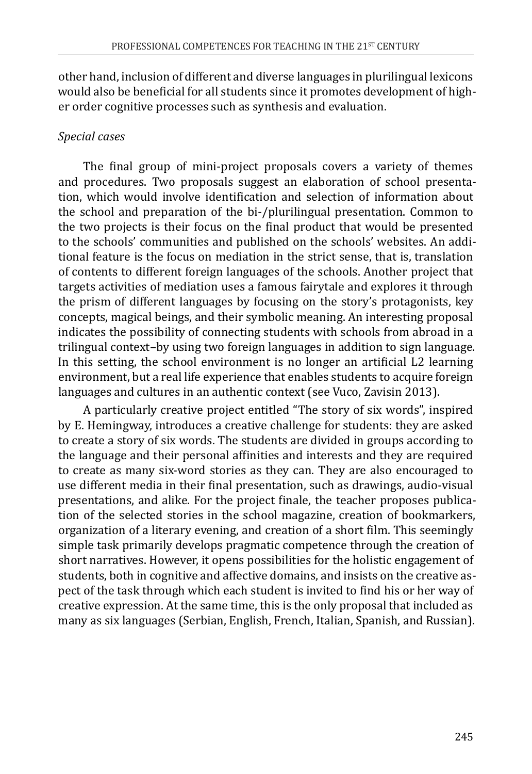other hand, inclusion of different and diverse languages in plurilingual lexicons would also be beneficial for all students since it promotes development of higher order cognitive processes such as synthesis and evaluation.

### *Special cases*

The final group of mini-project proposals covers a variety of themes and procedures. Two proposals suggest an elaboration of school presentation, which would involve identification and selection of information about the school and preparation of the bi-/plurilingual presentation. Common to the two projects is their focus on the final product that would be presented to the schools' communities and published on the schools' websites. An additional feature is the focus on mediation in the strict sense, that is, translation of contents to different foreign languages of the schools. Another project that targets activities of mediation uses a famous fairytale and explores it through the prism of different languages by focusing on the story's protagonists, key concepts, magical beings, and their symbolic meaning. An interesting proposal indicates the possibility of connecting students with schools from abroad in a trilingual context–by using two foreign languages in addition to sign language. In this setting, the school environment is no longer an artificial L2 learning environment, but a real life experience that enables students to acquire foreign languages and cultures in an authentic context (see Vuco, Zavisin 2013).

A particularly creative project entitled "The story of six words", inspired by E. Hemingway, introduces a creative challenge for students: they are asked to create a story of six words. The students are divided in groups according to the language and their personal affinities and interests and they are required to create as many six-word stories as they can. They are also encouraged to use different media in their final presentation, such as drawings, audio-visual presentations, and alike. For the project finale, the teacher proposes publication of the selected stories in the school magazine, creation of bookmarkers, organization of a literary evening, and creation of a short film. This seemingly simple task primarily develops pragmatic competence through the creation of short narratives. However, it opens possibilities for the holistic engagement of students, both in cognitive and affective domains, and insists on the creative aspect of the task through which each student is invited to find his or her way of creative expression. At the same time, this is the only proposal that included as many as six languages (Serbian, English, French, Italian, Spanish, and Russian).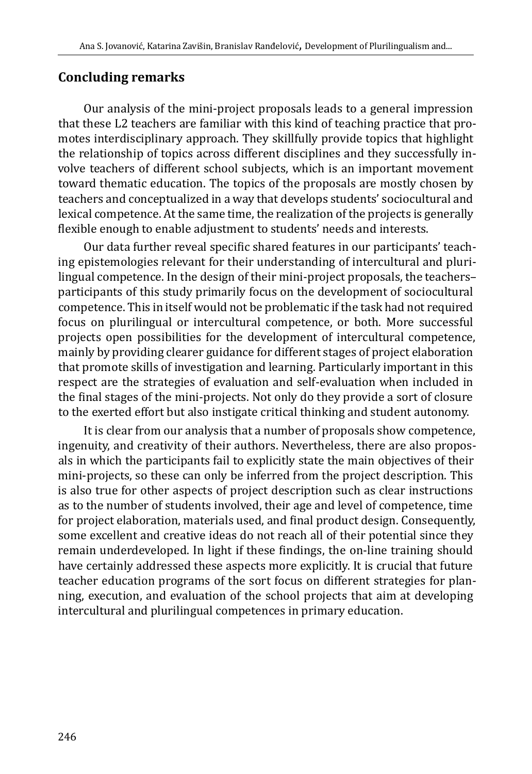#### **Concluding remarks**

Our analysis of the mini-project proposals leads to a general impression that these L2 teachers are familiar with this kind of teaching practice that promotes interdisciplinary approach. They skillfully provide topics that highlight the relationship of topics across different disciplines and they successfully involve teachers of different school subjects, which is an important movement toward thematic education. The topics of the proposals are mostly chosen by teachers and conceptualized in a way that develops students' sociocultural and lexical competence. At the same time, the realization of the projects is generally flexible enough to enable adjustment to students' needs and interests.

Our data further reveal specific shared features in our participants' teaching epistemologies relevant for their understanding of intercultural and plurilingual competence. In the design of their mini-project proposals, the teachers– participants of this study primarily focus on the development of sociocultural competence. This in itself would not be problematic if the task had not required focus on plurilingual or intercultural competence, or both. More successful projects open possibilities for the development of intercultural competence, mainly by providing clearer guidance for different stages of project elaboration that promote skills of investigation and learning. Particularly important in this respect are the strategies of evaluation and self-evaluation when included in the final stages of the mini-projects. Not only do they provide a sort of closure to the exerted effort but also instigate critical thinking and student autonomy.

It is clear from our analysis that a number of proposals show competence, ingenuity, and creativity of their authors. Nevertheless, there are also proposals in which the participants fail to explicitly state the main objectives of their mini-projects, so these can only be inferred from the project description. This is also true for other aspects of project description such as clear instructions as to the number of students involved, their age and level of competence, time for project elaboration, materials used, and final product design. Consequently, some excellent and creative ideas do not reach all of their potential since they remain underdeveloped. In light if these findings, the on-line training should have certainly addressed these aspects more explicitly. It is crucial that future teacher education programs of the sort focus on different strategies for planning, execution, and evaluation of the school projects that aim at developing intercultural and plurilingual competences in primary education.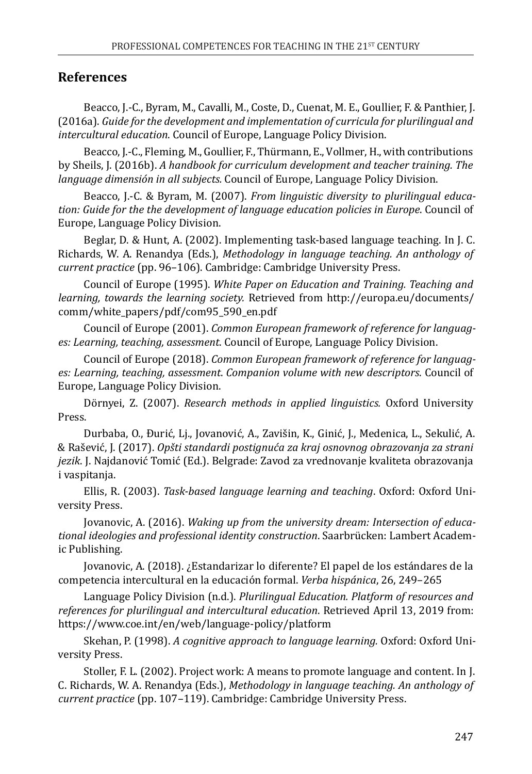#### **References**

Beacco, J.-C., Byram, M., Cavalli, M., Coste, D., Cuenat, M. E., Goullier, F. & Panthier, J. (2016a). *Guide for the development and implementation of curricula for plurilingual and intercultural education*. Council of Europe, Language Policy Division.

Beacco, J.-C., Fleming, M., Goullier, F., Thürmann, E., Vollmer, H., with contributions by Sheils, J. (2016b). *A handbook for curriculum development and teacher training. The language dimensión in all subjects.* Council of Europe, Language Policy Division.

Beacco, J.-C. & Byram, M. (2007). *From linguistic diversity to plurilingual education: Guide for the the development of language education policies in Europe*. Council of Europe, Language Policy Division.

Beglar, D. & Hunt, A. (2002). Implementing task-based language teaching. In J. C. Richards, W. A. Renandya (Eds.), *Methodology in language teaching. An anthology of current practice* (pp. 96–106). Cambridge: Cambridge University Press.

Council of Europe (1995). *White Paper on Education and Training. Teaching and learning, towards the learning society.* Retrieved from http://europa.eu/documents/ comm/white\_papers/pdf/com95\_590\_en.pdf

Council of Europe (2001). *Common European framework of reference for languages: Learning, teaching, assessment*. Council of Europe, Language Policy Division.

Council of Europe (2018). *Common European framework of reference for languages: Learning, teaching, assessment*. *Companion volume with new descriptors*. Council of Europe, Language Policy Division.

Dörnyei, Z. (2007). *Research methods in applied linguistics.* Oxford University Press.

Durbaba, O., Đurić, Lj., Jovanović, A., Zavišin, K., Ginić, J., Medenica, L., Sekulić, A. & Rašević, J. (2017). *Opšti standardi postignuća za kraj osnovnog obrazovanja za strani jezik*. J. Najdanović Tomić (Ed.). Belgrade: Zavod za vrednovanje kvaliteta obrazovanja i vaspitanja.

Ellis, R. (2003). *Task-based language learning and teaching*. Oxford: Oxford University Press.

Jovanovic, A. (2016). *Waking up from the university dream: Intersection of educational ideologies and professional identity construction*. Saarbrücken: Lambert Academic Publishing.

Jovanovic, A. (2018). ¿Estandarizar lo diferente? El papel de los estándares de la competencia intercultural en la educación formal. *Verba hispánica*, 26, 249–265

Language Policy Division (n.d.). *Plurilingual Education. Platform of resources and references for plurilingual and intercultural education*. Retrieved April 13, 2019 from: https://www.coe.int/en/web/language-policy/platform

Skehan, P. (1998). *A cognitive approach to language learning.* Oxford: Oxford University Press.

Stoller, F. L. (2002). Project work: A means to promote language and content. In J. C. Richards, W. A. Renandya (Eds.), *Methodology in language teaching. An anthology of current practice* (pp. 107–119). Cambridge: Cambridge University Press.